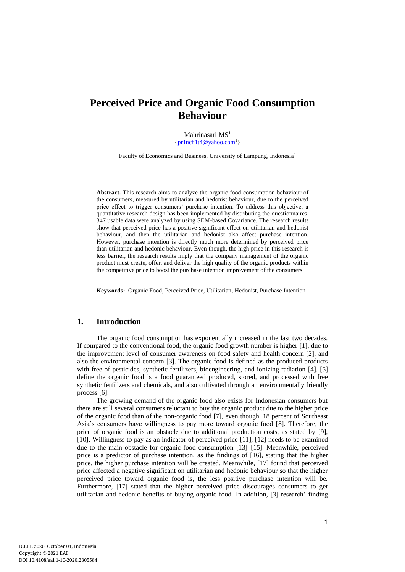# **Perceived Price and Organic Food Consumption Behaviour**

Mahrinasari MS<sup>1</sup>  $\{pr1nch1t4@vahoo.com<sup>1</sup>\}$ 

Faculty of Economics and Business, University of Lampung, Indonesia<sup>1</sup>

**Abstract.** This research aims to analyze the organic food consumption behaviour of the consumers, measured by utilitarian and hedonist behaviour, due to the perceived price effect to trigger consumers' purchase intention. To address this objective, a quantitative research design has been implemented by distributing the questionnaires. 347 usable data were analyzed by using SEM-based Covariance. The research results show that perceived price has a positive significant effect on utilitarian and hedonist behaviour, and then the utilitarian and hedonist also affect purchase intention. However, purchase intention is directly much more determined by perceived price than utilitarian and hedonic behaviour. Even though, the high price in this research is less barrier, the research results imply that the company management of the organic product must create, offer, and deliver the high quality of the organic products within the competitive price to boost the purchase intention improvement of the consumers.

**Keywords:** Organic Food, Perceived Price, Utilitarian, Hedonist, Purchase Intention

#### **1. Introduction**

The organic food consumption has exponentially increased in the last two decades. If compared to the conventional food, the organic food growth number is higher [1], due to the improvement level of consumer awareness on food safety and health concern [2], and also the environmental concern [3]. The organic food is defined as the produced products with free of pesticides, synthetic fertilizers, bioengineering, and ionizing radiation [4]. [5] define the organic food is a food guaranteed produced, stored, and processed with free synthetic fertilizers and chemicals, and also cultivated through an environmentally friendly process [6].

The growing demand of the organic food also exists for Indonesian consumers but there are still several consumers reluctant to buy the organic product due to the higher price of the organic food than of the non-organic food [7], even though, 18 percent of Southeast Asia's consumers have willingness to pay more toward organic food [8]. Therefore, the price of organic food is an obstacle due to additional production costs, as stated by [9], [10]. Willingness to pay as an indicator of perceived price [11], [12] needs to be examined due to the main obstacle for organic food consumption [13]–[15]. Meanwhile, perceived price is a predictor of purchase intention, as the findings of [16], stating that the higher price, the higher purchase intention will be created. Meanwhile, [17] found that perceived price affected a negative significant on utilitarian and hedonic behaviour so that the higher perceived price toward organic food is, the less positive purchase intention will be. Furthermore, [17] stated that the higher perceived price discourages consumers to get utilitarian and hedonic benefits of buying organic food. In addition, [3] research' finding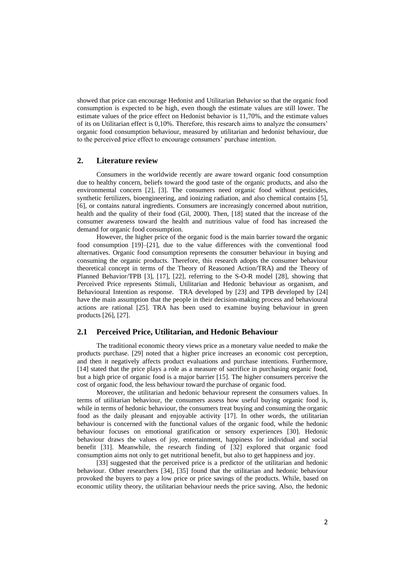showed that price can encourage Hedonist and Utilitarian Behavior so that the organic food consumption is expected to be high, even though the estimate values are still lower. The estimate values of the price effect on Hedonist behavior is 11,70%, and the estimate values of its on Utilitarian effect is 0,10%. Therefore, this research aims to analyze the consumers' organic food consumption behaviour, measured by utilitarian and hedonist behaviour, due to the perceived price effect to encourage consumers' purchase intention.

## **2. Literature review**

Consumers in the worldwide recently are aware toward organic food consumption due to healthy concern, beliefs toward the good taste of the organic products, and also the environmental concern [2], [3]. The consumers need organic food without pesticides, synthetic fertilizers, bioengineering, and ionizing radiation, and also chemical contains [5], [6], or contains natural ingredients. Consumers are increasingly concerned about nutrition, health and the quality of their food (Gil, 2000). Then, [18] stated that the increase of the consumer awareness toward the health and nutritious value of food has increased the demand for organic food consumption.

However, the higher price of the organic food is the main barrier toward the organic food consumption [19]–[21], due to the value differences with the conventional food alternatives. Organic food consumption represents the consumer behaviour in buying and consuming the organic products. Therefore, this research adopts the consumer behaviour theoretical concept in terms of the Theory of Reasoned Action/TRA) and the Theory of Planned Behavior/TPB [3], [17], [22], referring to the S-O-R model [28], showing that Perceived Price represents Stimuli, Utilitarian and Hedonic behaviour as organism, and Behavioural Intention as response. TRA developed by [23] and TPB developed by [24] have the main assumption that the people in their decision-making process and behavioural actions are rational [25]. TRA has been used to examine buying behaviour in green products [26], [27].

#### **2.1 Perceived Price, Utilitarian, and Hedonic Behaviour**

The traditional economic theory views price as a monetary value needed to make the products purchase. [29] noted that a higher price increases an economic cost perception, and then it negatively affects product evaluations and purchase intentions. Furthermore, [14] stated that the price plays a role as a measure of sacrifice in purchasing organic food, but a high price of organic food is a major barrier [15]. The higher consumers perceive the cost of organic food, the less behaviour toward the purchase of organic food.

Moreover, the utilitarian and hedonic behaviour represent the consumers values. In terms of utilitarian behaviour, the consumers assess how useful buying organic food is, while in terms of hedonic behaviour, the consumers treat buying and consuming the organic food as the daily pleasant and enjoyable activity [17]. In other words, the utilitarian behaviour is concerned with the functional values of the organic food, while the hedonic behaviour focuses on emotional gratification or sensory experiences [30]. Hedonic behaviour draws the values of joy, entertainment, happiness for individual and social benefit [31]. Meanwhile, the research finding of [32] explored that organic food consumption aims not only to get nutritional benefit, but also to get happiness and joy.

[33] suggested that the perceived price is a predictor of the utilitarian and hedonic behaviour. Other researchers [34], [35] found that the utilitarian and hedonic behaviour provoked the buyers to pay a low price or price savings of the products. While, based on economic utility theory, the utilitarian behaviour needs the price saving. Also, the hedonic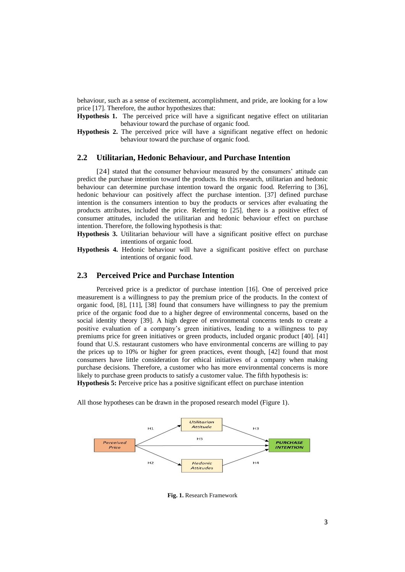behaviour, such as a sense of excitement, accomplishment, and pride, are looking for a low price [17]. Therefore, the author hypothesizes that:

**Hypothesis 1.** The perceived price will have a significant negative effect on utilitarian behaviour toward the purchase of organic food.

**Hypothesis 2.** The perceived price will have a significant negative effect on hedonic behaviour toward the purchase of organic food.

# **2.2 Utilitarian, Hedonic Behaviour, and Purchase Intention**

[24] stated that the consumer behaviour measured by the consumers' attitude can predict the purchase intention toward the products. In this research, utilitarian and hedonic behaviour can determine purchase intention toward the organic food. Referring to [36], hedonic behaviour can positively affect the purchase intention. [37] defined purchase intention is the consumers intention to buy the products or services after evaluating the products attributes, included the price. Referring to [25], there is a positive effect of consumer attitudes, included the utilitarian and hedonic behaviour effect on purchase intention. Therefore, the following hypothesis is that:

**Hypothesis 3.** Utilitarian behaviour will have a significant positive effect on purchase intentions of organic food.

**Hypothesis 4.** Hedonic behaviour will have a significant positive effect on purchase intentions of organic food.

## **2.3 Perceived Price and Purchase Intention**

Perceived price is a predictor of purchase intention [16]. One of perceived price measurement is a willingness to pay the premium price of the products. In the context of organic food, [8], [11], [38] found that consumers have willingness to pay the premium price of the organic food due to a higher degree of environmental concerns, based on the social identity theory [39]. A high degree of environmental concerns tends to create a positive evaluation of a company's green initiatives, leading to a willingness to pay premiums price for green initiatives or green products, included organic product [40]. [41] found that U.S. restaurant customers who have environmental concerns are willing to pay the prices up to 10% or higher for green practices, event though, [42] found that most consumers have little consideration for ethical initiatives of a company when making purchase decisions. Therefore, a customer who has more environmental concerns is more likely to purchase green products to satisfy a customer value. The fifth hypothesis is: **Hypothesis 5:** Perceive price has a positive significant effect on purchase intention

All those hypotheses can be drawn in the proposed research model (Figure 1).



**Fig. 1.** Research Framework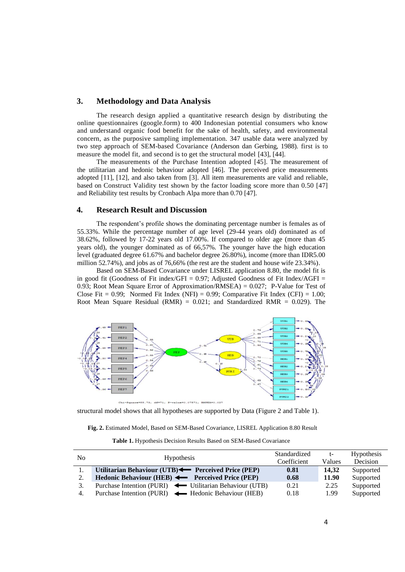## **3. Methodology and Data Analysis**

The research design applied a quantitative research design by distributing the online questionnaires (google.form) to 400 Indonesian potential consumers who know and understand organic food benefit for the sake of health, safety, and environmental concern, as the purposive sampling implementation. 347 usable data were analyzed by two step approach of SEM-based Covariance (Anderson dan Gerbing, 1988). first is to measure the model fit, and second is to get the structural model [43], [44].

The measurements of the Purchase Intention adopted [45]. The measurement of the utilitarian and hedonic behaviour adopted [46]. The perceived price measurements adopted [11], [12], and also taken from [3]. All item measurements are valid and reliable, based on Construct Validity test shown by the factor loading score more than 0.50 [47] and Reliability test results by Cronbach Alpa more than 0.70 [47].

#### **4. Research Result and Discussion**

The respondent's profile shows the dominating percentage number is females as of 55.33%. While the percentage number of age level (29-44 years old) dominated as of 38.62%, followed by 17-22 years old 17.00%. If compared to older age (more than 45 years old), the younger dominated as of 66,57%. The younger have the high education level (graduated degree 61.67% and bachelor degree 26.80%), income (more than IDR5.00 million 52.74%), and jobs as of 76,66% (the rest are the student and house wife 23.34%).

Based on SEM-Based Covariance under LISREL application 8.80, the model fit is in good fit (Goodness of Fit index/GFI =  $0.97$ ; Adjusted Goodness of Fit Index/AGFI = 0.93; Root Mean Square Error of Approximation/RMSEA) =  $0.027$ ; P-Value for Test of Close Fit =  $0.99$ ; Normed Fit Index (NFI) =  $0.99$ ; Comparative Fit Index (CFI) =  $1.00$ ; Root Mean Square Residual (RMR) =  $0.021$ ; and Standardized RMR =  $0.029$ ). The



structural model shows that all hypotheses are supported by Data (Figure 2 and Table 1).

|  |  |  |  |  |  |  | Fig. 2. Estimated Model, Based on SEM-Based Covariance, LISREL Application 8.80 Result |  |  |  |  |  |
|--|--|--|--|--|--|--|----------------------------------------------------------------------------------------|--|--|--|--|--|
|--|--|--|--|--|--|--|----------------------------------------------------------------------------------------|--|--|--|--|--|

**Table 1.** Hypothesis Decision Results Based on SEM-Based Covariance

| No |                                                         | Standardized | $t-$   | <b>Hypothesis</b> |
|----|---------------------------------------------------------|--------------|--------|-------------------|
|    | <b>Hypothesis</b>                                       | Coefficient  | Values | Decision          |
|    | Utilitarian Behaviour (UTB) Perceived Price (PEP)       | 0.81         | 14.32  | Supported         |
| 2. | Hedonic Behaviour (HEB) < Perceived Price (PEP)         | 0.68         | 11.90  | Supported         |
|    | Purchase Intention (PURI) — Utilitarian Behaviour (UTB) | 0.21         | 2.25   | Supported         |
| 4. | Purchase Intention (PURI) — Hedonic Behaviour (HEB)     | 0.18         | 1.99   | Supported         |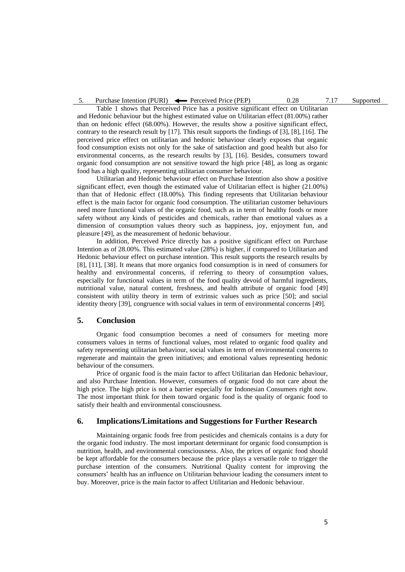5. Purchase Intention (PURI)  $\leftarrow$  Perceived Price (PEP) 0.28 7.17 Supported

Table 1 shows that Perceived Price has a positive significant effect on Utilitarian and Hedonic behaviour but the highest estimated value on Utilitarian effect (81.00%) rather than on hedonic effect (68.00%). However, the results show a positive significant effect, contrary to the research result by [17]. This result supports the findings of [3], [8], [16]. The perceived price effect on utilitarian and hedonic behaviour clearly exposes that organic food consumption exists not only for the sake of satisfaction and good health but also for environmental concerns, as the research results by [3], [16]. Besides, consumers toward organic food consumption are not sensitive toward the high price [48], as long as organic food has a high quality, representing utilitarian consumer behaviour.

Utilitarian and Hedonic behaviour effect on Purchase Intention also show a positive significant effect, even though the estimated value of Utilitarian effect is higher (21.00%) than that of Hedonic effect (18.00%). This finding represents that Utilitarian behaviour effect is the main factor for organic food consumption. The utilitarian customer behaviours need more functional values of the organic food, such as in term of healthy foods or more safety without any kinds of pesticides and chemicals, rather than emotional values as a dimension of consumption values theory such as happiness, joy, enjoyment fun, and pleasure [49], as the measurement of hedonic behaviour.

In addition, Perceived Price directly has a positive significant effect on Purchase Intention as of 28.00%. This estimated value (28%) is higher, if compared to Utilitarian and Hedonic behaviour effect on purchase intention. This result supports the research results by [8], [11], [38]. It means that more organics food consumption is in need of consumers for healthy and environmental concerns, if referring to theory of consumption values, especially for functional values in term of the food quality devoid of harmful ingredients, nutritional value, natural content, freshness, and health attribute of organic food [49] consistent with utility theory in term of extrinsic values such as price [50]; and social identity theory [39], congruence with social values in term of environmental concerns [49].

#### **5. Conclusion**

Organic food consumption becomes a need of consumers for meeting more consumers values in terms of functional values, most related to organic food quality and safety representing utilitarian behaviour, social values in term of environmental concerns to regenerate and maintain the green initiatives; and emotional values representing hedonic behaviour of the consumers.

Price of organic food is the main factor to affect Utilitarian dan Hedonic behaviour, and also Purchase Intention. However, consumers of organic food do not care about the high price. The high price is not a barrier especially for Indonesian Consumers right now. The most important think for them toward organic food is the quality of organic food to satisfy their health and environmental consciousness.

#### **6. Implications/Limitations and Suggestions for Further Research**

Maintaining organic foods free from pesticides and chemicals contains is a duty for the organic food industry. The most important determinant for organic food consumption is nutrition, health, and environmental consciousness. Also, the prices of organic food should be kept affordable for the consumers because the price plays a versatile role to trigger the purchase intention of the consumers. Nutritional Quality content for improving the consumers' health has an influence on Utilitarian behaviour leading the consumers intent to buy. Moreover, price is the main factor to affect Utilitarian and Hedonic behaviour.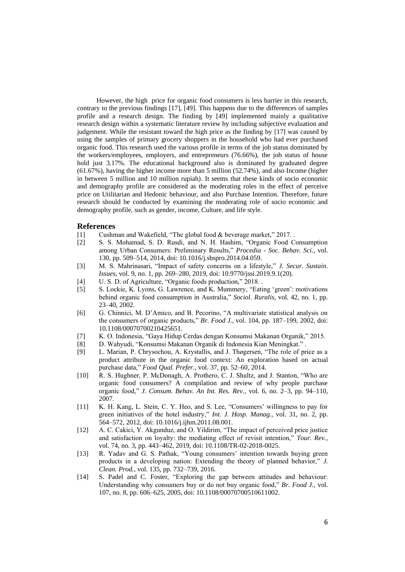However, the high price for organic food consumers is less barrier in this research, contrary to the previous findings [17], [49]. This happens due to the differences of samples profile and a research design. The finding by [49] implemented mainly a qualitative research design within a systematic literature review by including subjective evaluation and judgement. While the resistant toward the high price as the finding by [17] was caused by using the samples of primary grocery shoppers in the household who had ever purchased organic food. This research used the various profile in terms of the job status dominated by the workers/employees, employers, and entrepreneurs (76.66%), the job status of house hold just 3.17%. The educational background also is dominated by graduated degree (61.67%), having the higher income more than 5 million (52.74%), and also Income (higher in between 5 million and 10 million rupiah). It seems that these kinds of socio economic and demography profile are considered as the moderating roles in the effect of perceive price on Utilitarian and Hedonic behaviour, and also Purchase Intention. Therefore, future research should be conducted by examining the moderating role of socio economic and demography profile, such as gender, income, Culture, and life style.

#### **References**

[1] Cushman and Wakefield, "The global food & beverage market," 2017.

- [2] S. S. Mohamad, S. D. Rusdi, and N. H. Hashim, "Organic Food Consumption among Urban Consumers: Preliminary Results," *Procedia - Soc. Behav. Sci.*, vol. 130, pp. 509–514, 2014, doi: 10.1016/j.sbspro.2014.04.059.
- [3] M. S. Mahrinasari, "Impact of safety concerns on a lifestyle," *J. Secur. Sustain. Issues*, vol. 9, no. 1, pp. 269–280, 2019, doi: 10.9770/jssi.2019.9.1(20).
- [4] U. S. D. of Agriculture, "Organic foods production," 2018. .
- [5] S. Lockie, K. Lyons, G. Lawrence, and K. Mummery, "Eating 'green': motivations behind organic food consumption in Australia," *Sociol. Ruralis*, vol. 42, no. 1, pp. 23–40, 2002.
- [6] G. Chinnici, M. D'Amico, and B. Pecorino, "A multivariate statistical analysis on the consumers of organic products," *Br. Food J.*, vol. 104, pp. 187–199, 2002, doi: 10.1108/00070700210425651.
- [7] K. O. Indonesia, "Gaya Hidup Cerdas dengan Konsumsi Makanan Organik," 2015.
- [8] D. Wahyudi, "Konsumsi Makanan Organik di Indonesia Kian Meningkat." .
- [9] L. Marian, P. Chrysochou, A. Krystallis, and J. Thøgersen, "The role of price as a product attribute in the organic food context: An exploration based on actual purchase data," *Food Qual. Prefer.*, vol. 37, pp. 52–60, 2014.
- [10] R. S. Hughner, P. McDonagh, A. Prothero, C. J. Shultz, and J. Stanton, "Who are organic food consumers? A compilation and review of why people purchase organic food," *J. Consum. Behav. An Int. Res. Rev.*, vol. 6, no. 2–3, pp. 94–110, 2007.
- [11] K. H. Kang, L. Stein, C. Y. Heo, and S. Lee, "Consumers' willingness to pay for green initiatives of the hotel industry," *Int. J. Hosp. Manag.*, vol. 31, no. 2, pp. 564–572, 2012, doi: 10.1016/j.ijhm.2011.08.001.
- [12] A. C. Cakici, Y. Akgunduz, and O. Yildirim, "The impact of perceived price justice and satisfaction on loyalty: the mediating effect of revisit intention," *Tour. Rev.*, vol. 74, no. 3, pp. 443–462, 2019, doi: 10.1108/TR-02-2018-0025.
- [13] R. Yadav and G. S. Pathak, "Young consumers' intention towards buying green products in a developing nation: Extending the theory of planned behavior," *J. Clean. Prod.*, vol. 135, pp. 732–739, 2016.
- [14] S. Padel and C. Foster, "Exploring the gap between attitudes and behaviour: Understanding why consumers buy or do not buy organic food," *Br. Food J.*, vol. 107, no. 8, pp. 606–625, 2005, doi: 10.1108/00070700510611002.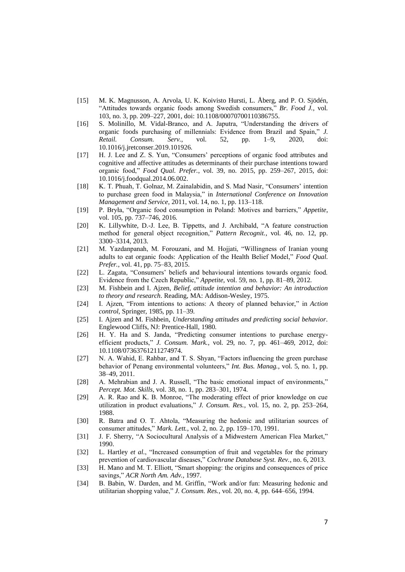- [15] M. K. Magnusson, A. Arvola, U. K. Koivisto Hursti, L. Åberg, and P. O. Sjödén, "Attitudes towards organic foods among Swedish consumers," *Br. Food J.*, vol. 103, no. 3, pp. 209–227, 2001, doi: 10.1108/00070700110386755.
- [16] S. Molinillo, M. Vidal-Branco, and A. Japutra, "Understanding the drivers of organic foods purchasing of millennials: Evidence from Brazil and Spain," *J. Retail. Consum. Serv.*, vol. 52, pp. 1–9, 2020, doi: 10.1016/j.jretconser.2019.101926.
- [17] H. J. Lee and Z. S. Yun, "Consumers' perceptions of organic food attributes and cognitive and affective attitudes as determinants of their purchase intentions toward organic food," *Food Qual. Prefer.*, vol. 39, no. 2015, pp. 259–267, 2015, doi: 10.1016/j.foodqual.2014.06.002.
- [18] K. T. Phuah, T. Golnaz, M. Zainalabidin, and S. Mad Nasir, "Consumers' intention to purchase green food in Malaysia," in *International Conference on Innovation Management and Service*, 2011, vol. 14, no. 1, pp. 113–118.
- [19] P. Bryła, "Organic food consumption in Poland: Motives and barriers," *Appetite*, vol. 105, pp. 737–746, 2016.
- [20] K. Lillywhite, D.-J. Lee, B. Tippetts, and J. Archibald, "A feature construction method for general object recognition," *Pattern Recognit.*, vol. 46, no. 12, pp. 3300–3314, 2013.
- [21] M. Yazdanpanah, M. Forouzani, and M. Hojjati, "Willingness of Iranian young adults to eat organic foods: Application of the Health Belief Model," *Food Qual. Prefer.*, vol. 41, pp. 75–83, 2015.
- [22] L. Zagata, "Consumers' beliefs and behavioural intentions towards organic food. Evidence from the Czech Republic," *Appetite*, vol. 59, no. 1, pp. 81–89, 2012.
- [23] M. Fishbein and I. Ajzen, *Belief, attitude intention and behavior: An introduction to theory and research*. Reading, MA: Addison-Wesley, 1975.
- [24] I. Ajzen, "From intentions to actions: A theory of planned behavior," in *Action control*, Springer, 1985, pp. 11–39.
- [25] I. Ajzen and M. Fishbein, *Understanding attitudes and predicting social behavior*. Englewood Cliffs, NJ: Prentice-Hall, 1980.
- [26] H. Y. Ha and S. Janda, "Predicting consumer intentions to purchase energyefficient products," *J. Consum. Mark.*, vol. 29, no. 7, pp. 461–469, 2012, doi: 10.1108/07363761211274974.
- [27] N. A. Wahid, E. Rahbar, and T. S. Shyan, "Factors influencing the green purchase behavior of Penang environmental volunteers," *Int. Bus. Manag.*, vol. 5, no. 1, pp. 38–49, 2011.
- [28] A. Mehrabian and J. A. Russell, "The basic emotional impact of environments," *Percept. Mot. Skills*, vol. 38, no. 1, pp. 283–301, 1974.
- [29] A. R. Rao and K. B. Monroe, "The moderating effect of prior knowledge on cue utilization in product evaluations," *J. Consum. Res.*, vol. 15, no. 2, pp. 253–264, 1988.
- [30] R. Batra and O. T. Ahtola, "Measuring the hedonic and utilitarian sources of consumer attitudes," *Mark. Lett.*, vol. 2, no. 2, pp. 159–170, 1991.
- [31] J. F. Sherry, "A Sociocultural Analysis of a Midwestern American Flea Market," 1990.
- [32] L. Hartley *et al.*, "Increased consumption of fruit and vegetables for the primary prevention of cardiovascular diseases," *Cochrane Database Syst. Rev.*, no. 6, 2013.
- [33] H. Mano and M. T. Elliott, "Smart shopping: the origins and consequences of price savings," *ACR North Am. Adv.*, 1997.
- [34] B. Babin, W. Darden, and M. Griffin, "Work and/or fun: Measuring hedonic and utilitarian shopping value," *J. Consum. Res.*, vol. 20, no. 4, pp. 644–656, 1994.